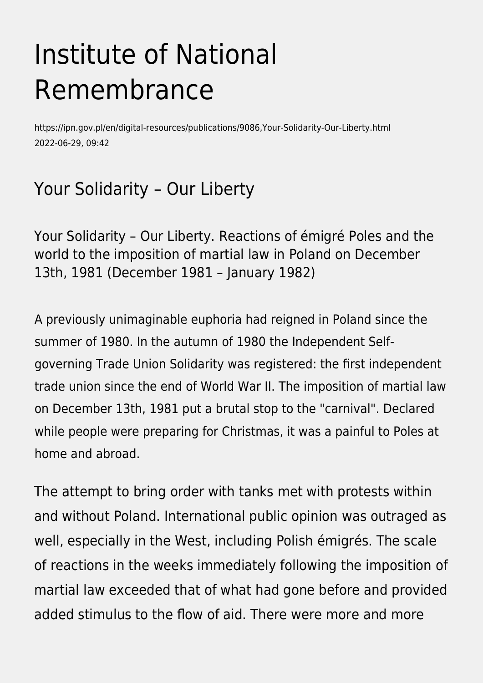# Institute of National Remembrance

https://ipn.gov.pl/en/digital-resources/publications/9086,Your-Solidarity-Our-Liberty.html 2022-06-29, 09:42

## Your Solidarity – Our Liberty

Your Solidarity – Our Liberty. Reactions of émigré Poles and the world to the imposition of martial law in Poland on December 13th, 1981 (December 1981 – January 1982)

A previously unimaginable euphoria had reigned in Poland since the summer of 1980. In the autumn of 1980 the Independent Selfgoverning Trade Union Solidarity was registered: the first independent trade union since the end of World War II. The imposition of martial law on December 13th, 1981 put a brutal stop to the "carnival". Declared while people were preparing for Christmas, it was a painful to Poles at home and abroad.

The attempt to bring order with tanks met with protests within and without Poland. International public opinion was outraged as well, especially in the West, including Polish émigrés. The scale of reactions in the weeks immediately following the imposition of martial law exceeded that of what had gone before and provided added stimulus to the flow of aid. There were more and more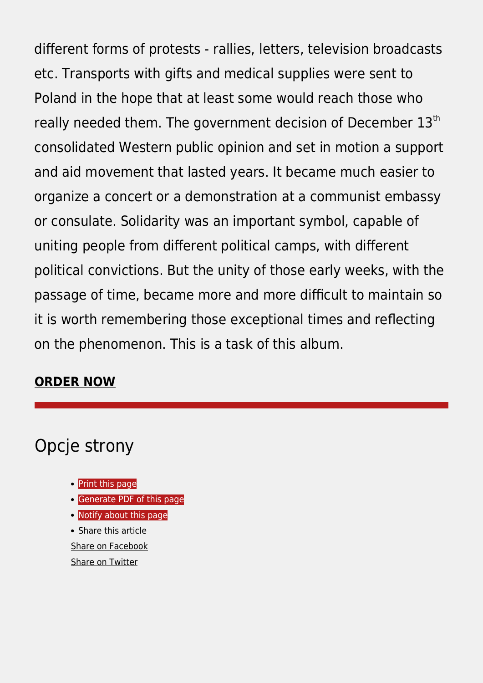different forms of protests - rallies, letters, television broadcasts etc. Transports with gifts and medical supplies were sent to Poland in the hope that at least some would reach those who really needed them. The government decision of December 13<sup>th</sup> consolidated Western public opinion and set in motion a support and aid movement that lasted years. It became much easier to organize a concert or a demonstration at a communist embassy or consulate. Solidarity was an important symbol, capable of uniting people from different political camps, with different political convictions. But the unity of those early weeks, with the passage of time, became more and more difficult to maintain so it is worth remembering those exceptional times and reflecting on the phenomenon. This is a task of this album.

#### **[ORDER NOW](https://ipn.poczytaj.pl/ksiazka/your-solidarity-our-liberty-wasza-solidarnosc-nasza-wolnosc-reakcje-emigracji-polskiej-i-swiata-na-wprowadzenie-stanu-wojennego-13-grudnia-1981-grudzien-1981-styczen-1982-slawomir-lukasiewicz,401011)**

### Opcje strony

- **[Print](https://ipn.gov.pl/javascript:winopen() [this page](https://ipn.gov.pl/javascript:winopen()**
- [Generate PDF](https://ipn.gov.pl/en/digital-resources/publications/9086,Your-Solidarity-Our-Liberty.pdf) [of this page](https://ipn.gov.pl/en/digital-resources/publications/9086,Your-Solidarity-Our-Liberty.pdf)
- [Notify](https://ipn.gov.pl/en/powiadom/9086,dok.html?poz=digital-resources/publications&drukuj=window) [about this page](https://ipn.gov.pl/en/powiadom/9086,dok.html?poz=digital-resources/publications&drukuj=window)

• Share this article [Share](https://www.facebook.com/sharer/sharer.php?u=https://ipn.gov.pl/en/digital-resources/publications/9086,Your-Solidarity-Our-Liberty.html) [on Facebook](https://www.facebook.com/sharer/sharer.php?u=https://ipn.gov.pl/en/digital-resources/publications/9086,Your-Solidarity-Our-Liberty.html) [Share](https://twitter.com/share) [on Twitter](https://twitter.com/share)